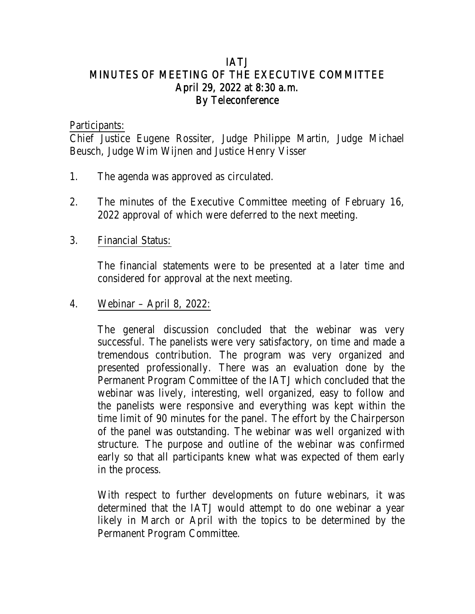# IATJ MINUTES OF MEETING OF THE EXECUTIVE COMMITTEE April 29, 2022 at 8:30 a.m. By Teleconference

Participants:

Chief Justice Eugene Rossiter, Judge Philippe Martin, Judge Michael Beusch, Judge Wim Wijnen and Justice Henry Visser

- 1. The agenda was approved as circulated.
- 2. The minutes of the Executive Committee meeting of February 16, 2022 approval of which were deferred to the next meeting.
- 3. Financial Status:

The financial statements were to be presented at a later time and considered for approval at the next meeting.

4. Webinar – April 8, 2022:

The general discussion concluded that the webinar was very successful. The panelists were very satisfactory, on time and made a tremendous contribution. The program was very organized and presented professionally. There was an evaluation done by the Permanent Program Committee of the IATJ which concluded that the webinar was lively, interesting, well organized, easy to follow and the panelists were responsive and everything was kept within the time limit of 90 minutes for the panel. The effort by the Chairperson of the panel was outstanding. The webinar was well organized with structure. The purpose and outline of the webinar was confirmed early so that all participants knew what was expected of them early in the process.

With respect to further developments on future webinars, it was determined that the IATJ would attempt to do one webinar a year likely in March or April with the topics to be determined by the Permanent Program Committee.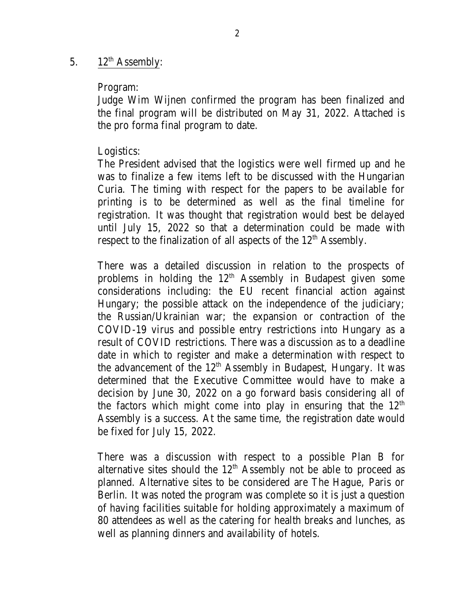### 5.  $12^{th}$  Assembly:

#### Program:

Judge Wim Wijnen confirmed the program has been finalized and the final program will be distributed on May 31, 2022. Attached is the pro forma final program to date.

#### Logistics:

The President advised that the logistics were well firmed up and he was to finalize a few items left to be discussed with the Hungarian Curia. The timing with respect for the papers to be available for printing is to be determined as well as the final timeline for registration. It was thought that registration would best be delayed until July 15, 2022 so that a determination could be made with respect to the finalization of all aspects of the 12<sup>th</sup> Assembly.

There was a detailed discussion in relation to the prospects of problems in holding the  $12<sup>th</sup>$  Assembly in Budapest given some considerations including: the EU recent financial action against Hungary; the possible attack on the independence of the judiciary; the Russian/Ukrainian war; the expansion or contraction of the COVID-19 virus and possible entry restrictions into Hungary as a result of COVID restrictions. There was a discussion as to a deadline date in which to register and make a determination with respect to the advancement of the 12<sup>th</sup> Assembly in Budapest, Hungary. It was determined that the Executive Committee would have to make a decision by June 30, 2022 on a go forward basis considering all of the factors which might come into play in ensuring that the  $12<sup>th</sup>$ Assembly is a success. At the same time, the registration date would be fixed for July 15, 2022.

There was a discussion with respect to a possible Plan B for alternative sites should the  $12<sup>th</sup>$  Assembly not be able to proceed as planned. Alternative sites to be considered are The Hague, Paris or Berlin. It was noted the program was complete so it is just a question of having facilities suitable for holding approximately a maximum of 80 attendees as well as the catering for health breaks and lunches, as well as planning dinners and availability of hotels.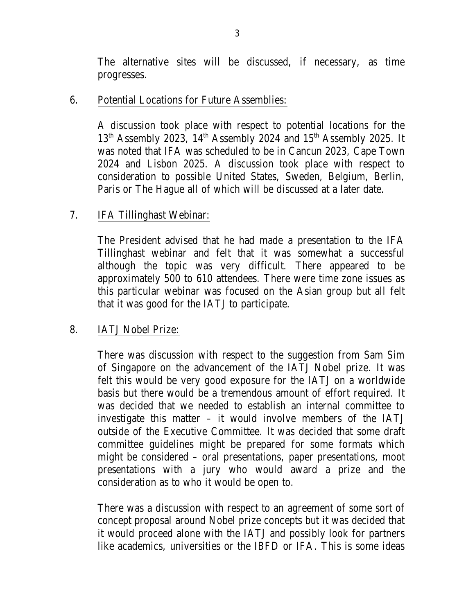The alternative sites will be discussed, if necessary, as time progresses.

### 6. Potential Locations for Future Assemblies:

A discussion took place with respect to potential locations for the 13<sup>th</sup> Assembly 2023, 14<sup>th</sup> Assembly 2024 and 15<sup>th</sup> Assembly 2025. It was noted that IFA was scheduled to be in Cancun 2023, Cape Town 2024 and Lisbon 2025. A discussion took place with respect to consideration to possible United States, Sweden, Belgium, Berlin, Paris or The Hague all of which will be discussed at a later date.

### 7. IFA Tillinghast Webinar:

The President advised that he had made a presentation to the IFA Tillinghast webinar and felt that it was somewhat a successful although the topic was very difficult. There appeared to be approximately 500 to 610 attendees. There were time zone issues as this particular webinar was focused on the Asian group but all felt that it was good for the IATJ to participate.

# 8. IATJ Nobel Prize:

There was discussion with respect to the suggestion from Sam Sim of Singapore on the advancement of the IATJ Nobel prize. It was felt this would be very good exposure for the IATJ on a worldwide basis but there would be a tremendous amount of effort required. It was decided that we needed to establish an internal committee to investigate this matter – it would involve members of the IATJ outside of the Executive Committee. It was decided that some draft committee guidelines might be prepared for some formats which might be considered – oral presentations, paper presentations, moot presentations with a jury who would award a prize and the consideration as to who it would be open to.

There was a discussion with respect to an agreement of some sort of concept proposal around Nobel prize concepts but it was decided that it would proceed alone with the IATJ and possibly look for partners like academics, universities or the IBFD or IFA. This is some ideas